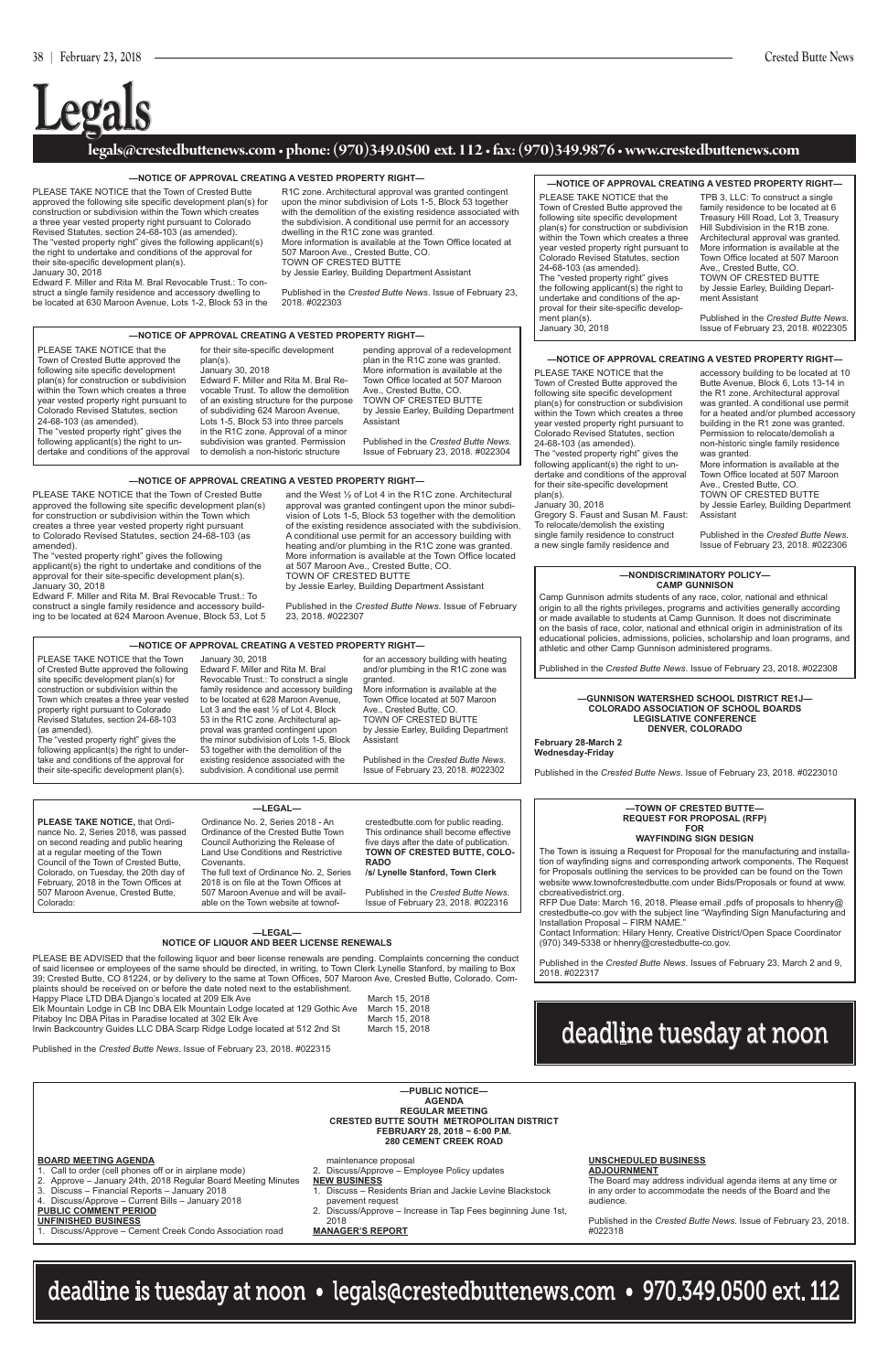#### **legals@crestedbuttenews.com • phone: (970)349.0500 ext. 112 • fax: (970)349.9876 • www.crestedbuttenews.com**

# **Legals**

#### **—NOTICE OF APPROVAL CREATING A VESTED PROPERTY RIGHT—**

#### **—NOTICE OF APPROVAL CREATING A VESTED PROPERTY RIGHT—**

#### **—NOTICE OF APPROVAL CREATING A VESTED PROPERTY RIGHT—**

#### **—GUNNISON WATERSHED SCHOOL DISTRICT RE1J— COLORADO ASSOCIATION OF SCHOOL BOARDS LEGISLATIVE CONFERENCE DENVER, COLORADO**

**—NOTICE OF APPROVAL CREATING A VESTED PROPERTY RIGHT—**

Edward F. Miller and Rita M. Bral Revocable Trust.: To construct a single family residence and accessory dwelling to be located at 630 Maroon Avenue, Lots 1-2, Block 53 in the

#### **—NOTICE OF APPROVAL CREATING A VESTED PROPERTY RIGHT—**

PLEASE TAKE NOTICE that the Town of Crested Butte approved the following site specific development plan(s) for construction or subdivision within the Town which creates a three year vested property right pursuant to Colorado Revised Statutes, section 24-68-103 (as amended). The "vested property right" gives the following applicant(s) the right to undertake and conditions of the approval for their site-specific development plan(s). January 30, 2018

R1C zone. Architectural approval was granted contingent upon the minor subdivision of Lots 1-5, Block 53 together with the demolition of the existing residence associated with the subdivision. A conditional use permit for an accessory dwelling in the R1C zone was granted. More information is available at the Town Office located at 507 Maroon Ave., Crested Butte, CO. TOWN OF CRESTED BUTTE by Jessie Earley, Building Department Assistant

Published in the *Crested Butte News*. Issue of February 23, 2018. #022303

PLEASE TAKE NOTICE that the Town of Crested Butte approved the following site specific development plan(s) for construction or subdivision within the Town which creates a three year vested property right pursuant to Colorado Revised Statutes, section 24-68-103 (as amended).

The "vested property right" gives the following applicant(s) the right to undertake and conditions of the approval for their site-specific development plan(s). January 30, 2018

Edward F. Miller and Rita M. Bral Revocable Trust.: To construct a single family residence and accessory building to be located at 624 Maroon Avenue, Block 53, Lot 5 and the West ½ of Lot 4 in the R1C zone. Architectural approval was granted contingent upon the minor subdivision of Lots 1-5, Block 53 together with the demolition of the existing residence associated with the subdivision. A conditional use permit for an accessory building with heating and/or plumbing in the R1C zone was granted. More information is available at the Town Office located at 507 Maroon Ave., Crested Butte, CO. TOWN OF CRESTED BUTTE

by Jessie Earley, Building Department Assistant

Published in the *Crested Butte News*. Issue of February 23, 2018. #022307

PLEASE TAKE NOTICE that the Town of Crested Butte approved the following site specific development plan(s) for construction or subdivision within the Town which creates a three year vested property right pursuant to Colorado Revised Statutes, section 24-68-103 (as amended). The "vested property right" gives the following applicant(s) the right to undertake and conditions of the approval for their site-specific development plan(s). January 30, 2018 Gregory S. Faust and Susan M. Faust:

To relocate/demolish the existing single family residence to construct a new single family residence and

accessory building to be located at 10 Butte Avenue, Block 6, Lots 13-14 in the R1 zone. Architectural approval was granted. A conditional use permit for a heated and/or plumbed accessory building in the R1 zone was granted. Permission to relocate/demolish a non-historic single family residence was granted. More information is available at the Town Office located at 507 Maroon Ave., Crested Butte, CO. TOWN OF CRESTED BUTTE by Jessie Earley, Building Department Assistant

Published in the *Crested Butte News*. Issue of February 23, 2018. #022306

**February 28-March 2 Wednesday-Friday**

Published in the *Crested Butte News*. Issue of February 23, 2018. #0223010

Elk Mountain Lodge in CB Inc DBA Elk Mountain Lodge located at 129 Gothic Ave March 15, 2018 Pitaboy Inc DBA Pitas in Paradise located at 302 Elk Ave March 15, 2018<br>Irwin Backcountry Guides LLC DBA Scarp Ridge Lodge located at 512 2nd St March 15, 2018 Irwin Backcountry Guides LLC DBA Scarp Ridge Lodge located at 512 2nd St

PLEASE TAKE NOTICE that the Town of Crested Butte approved the following site specific development plan(s) for construction or subdivision within the Town which creates a three year vested property right pursuant to Colorado Revised Statutes, section 24-68-103 (as amended). The "vested property right" gives the following applicant(s) the right to undertake and conditions of the approval for their site-specific development plan(s). January 30, 2018

TPB 3, LLC: To construct a single family residence to be located at 6 Treasury Hill Road, Lot 3, Treasury Hill Subdivision in the R1B zone. Architectural approval was granted. More information is available at the Town Office located at 507 Maroon Ave., Crested Butte, CO. TOWN OF CRESTED BUTTE by Jessie Earley, Building Department Assistant

Published in the *Crested Butte News*. Issue of February 23, 2018. #022305

PLEASE TAKE NOTICE that the Town of Crested Butte approved the following site specific development plan(s) for construction or subdivision within the Town which creates a three year vested property right pursuant to Colorado Revised Statutes, section 24-68-103 (as amended).

The "vested property right" gives the following applicant(s) the right to undertake and conditions of the approval

for their site-specific development plan(s). January 30, 2018 Edward F. Miller and Rita M. Bral Revocable Trust. To allow the demolition of an existing structure for the purpose of subdividing 624 Maroon Avenue, Lots 1-5, Block 53 into three parcels in the R1C zone. Approval of a minor subdivision was granted. Permission to demolish a non-historic structure

pending approval of a redevelopment plan in the R1C zone was granted. More information is available at the Town Office located at 507 Maroon Ave., Crested Butte, CO. TOWN OF CRESTED BUTTE by Jessie Earley, Building Department Assistant

Published in the *Crested Butte News*. Issue of February 23, 2018. #022304

#### **—NOTICE OF APPROVAL CREATING A VESTED PROPERTY RIGHT—**

PLEASE TAKE NOTICE that the Town of Crested Butte approved the following site specific development plan(s) for construction or subdivision within the Town which creates a three year vested property right pursuant to Colorado Revised Statutes, section 24-68-103 (as amended).

The "vested property right" gives the following applicant(s) the right to undertake and conditions of the approval for their site-specific development plan(s).

January 30, 2018 Edward F. Miller and Rita M. Bral Revocable Trust.: To construct a single family residence and accessory building to be located at 628 Maroon Avenue, Lot 3 and the east ½ of Lot 4, Block 53 in the R1C zone. Architectural approval was granted contingent upon the minor subdivision of Lots 1-5, Block 53 together with the demolition of the existing residence associated with the subdivision. A conditional use permit

for an accessory building with heating and/or plumbing in the R1C zone was granted. More information is available at the Town Office located at 507 Maroon Ave., Crested Butte, CO. TOWN OF CRESTED BUTTE by Jessie Earley, Building Department Assistant

Published in the *Crested Butte News*. Issue of February 23, 2018. #022302

#### **—NONDISCRIMINATORY POLICY— CAMP GUNNISON**

Camp Gunnison admits students of any race, color, national and ethnical origin to all the rights privileges, programs and activities generally according or made available to students at Camp Gunnison. It does not discriminate on the basis of race, color, national and ethnical origin in administration of its educational policies, admissions, policies, scholarship and loan programs, and athletic and other Camp Gunnison administered programs.

Published in the *Crested Butte News*. Issue of February 23, 2018. #022308

#### **NOTICE OF LIQUOR AND BEER LICENSE RENEWALS**

PLEASE BE ADVISED that the following liquor and beer license renewals are pending. Complaints concerning the conduct of said licensee or employees of the same should be directed, in writing, to Town Clerk Lynelle Stanford, by mailing to Box 39; Crested Butte, CO 81224, or by delivery to the same at Town Offices, 507 Maroon Ave, Crested Butte, Colorado. Complaints should be received on or before the date noted next to the establishment.

Happy Place LTD DBA Django's located at 209 Elk Ave March 15, 2018

Published in the *Crested Butte News*. Issue of February 23, 2018. #022315



#### **—LEGAL—**

Ordinance No. 2, Series 2018 - An Council Authorizing the Release of Covenants.

crestedbutte.com for public reading. This ordinance shall become effective five days after the date of publication. **TOWN OF CRESTED BUTTE, COLO-**

Published in the *Crested Butte News*. Issue of February 23, 2018. #022316 The Town is issuing a Request for Proposal for the manufacturing and installation of wayfinding signs and corresponding artwork components. The Request for Proposals outlining the services to be provided can be found on the Town website www.townofcrestedbutte.com under Bids/Proposals or found at www. cbcreativedistrict.org.

RFP Due Date: March 16, 2018. Please email .pdfs of proposals to hhenry@ crestedbutte-co.gov with the subject line "Wayfinding Sign Manufacturing and Installation Proposal – FIRM NAME."

Contact Information: Hilary Henry, Creative District/Open Space Coordinator (970) 349-5338 or hhenry@crestedbutte-co.gov.

Published in the *Crested Butte News*. Issues of February 23, March 2 and 9, 2018. #022317

#### **—TOWN OF CRESTED BUTTE— REQUEST FOR PROPOSAL (RFP) FOR**

#### **WAYFINDING SIGN DESIGN**

| $-$ PUBLIC NOTICE $-$<br><b>AGENDA</b><br><b>REGULAR MEETING</b><br><b>CRESTED BUTTE SOUTH METROPOLITAN DISTRICT</b><br>FEBRUARY 28, 2018 ~ 6:00 P.M.<br><b>280 CEMENT CREEK ROAD</b>                                                                                                                                                                                                  |                                                                                                                                                                                                                                                                               |                                                                                                                                                                                                                                                                      |  |  |  |  |  |
|----------------------------------------------------------------------------------------------------------------------------------------------------------------------------------------------------------------------------------------------------------------------------------------------------------------------------------------------------------------------------------------|-------------------------------------------------------------------------------------------------------------------------------------------------------------------------------------------------------------------------------------------------------------------------------|----------------------------------------------------------------------------------------------------------------------------------------------------------------------------------------------------------------------------------------------------------------------|--|--|--|--|--|
| <b>BOARD MEETING AGENDA</b><br>1. Call to order (cell phones off or in airplane mode)<br>2. Approve - January 24th, 2018 Regular Board Meeting Minutes<br>3. Discuss - Financial Reports - January 2018<br>4. Discuss/Approve - Current Bills - January 2018<br><b>PUBLIC COMMENT PERIOD</b><br><b>UNFINISHED BUSINESS</b><br>1. Discuss/Approve – Cement Creek Condo Association road | maintenance proposal<br>2. Discuss/Approve – Employee Policy updates<br><b>NEW BUSINESS</b><br>Discuss – Residents Brian and Jackie Levine Blackstock<br>pavement request<br>2. Discuss/Approve – Increase in Tap Fees beginning June 1st.<br>2018<br><b>MANAGER'S REPORT</b> | UNSCHEDULED BUSINESS<br><b>ADJOURNMENT</b><br>The Board may address individual agenda items at any time or<br>in any order to accommodate the needs of the Board and the<br>audience.<br>Published in the Crested Butte News. Issue of February 23, 2018.<br>#022318 |  |  |  |  |  |



### deadline is tuesday at noon • legals@crestedbuttenews.com • 970.349.0500 ext. 112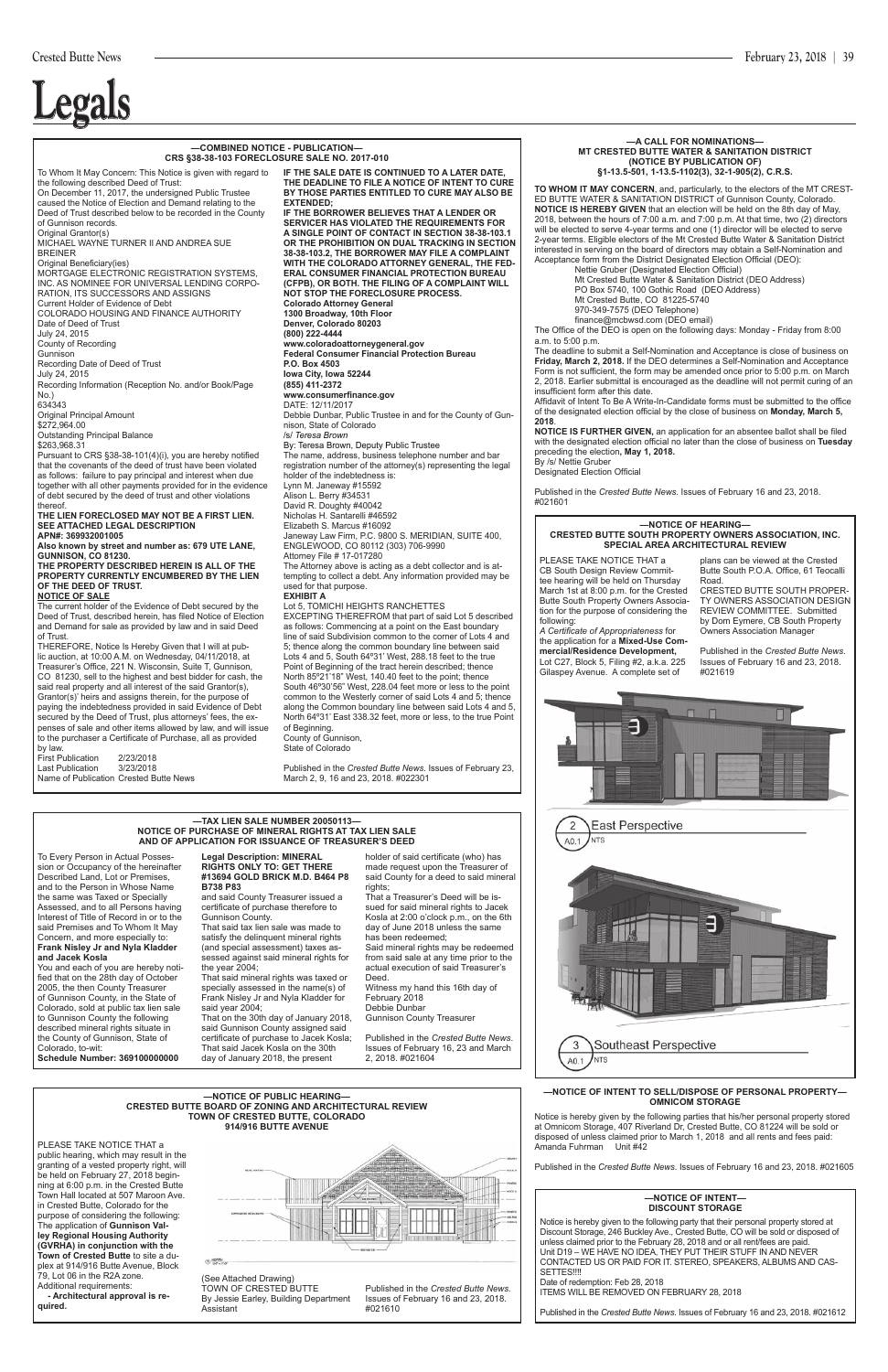#### **—TAX LIEN SALE NUMBER 20050113— NOTICE OF PURCHASE OF MINERAL RIGHTS AT TAX LIEN SALE AND OF APPLICATION FOR ISSUANCE OF TREASURER'S DEED**

To Every Person in Actual Possession or Occupancy of the hereinafter Described Land, Lot or Premises, and to the Person in Whose Name the same was Taxed or Specially Assessed, and to all Persons having Interest of Title of Record in or to the said Premises and To Whom It May Concern, and more especially to: **Frank Nisley Jr and Nyla Kladder and Jacek Kosla**

You and each of you are hereby notified that on the 28th day of October 2005, the then County Treasurer of Gunnison County, in the State of rado, sold at public tax lien sale to Gunnison County the following described mineral rights situate in the County of Gunnison, State of Colorado, to-wit: **Schedule Number: 369100000000**

#### **Legal Description: MINERAL RIGHTS ONLY TO: GET THERE #13694 GOLD BRICK M.D. B464 P8 B738 P83**

and said County Treasurer issued a certificate of purchase therefore to Gunnison County.

**TO WHOM IT MAY CONCERN**, and, particularly, to the electors of the MT CREST-ED BUTTE WATER & SANITATION DISTRICT of Gunnison County, Colorado. **NOTICE IS HEREBY GIVEN** that an election will be held on the 8th day of May, 2018, between the hours of 7:00 a.m. and 7:00 p.m. At that time, two (2) directors will be elected to serve 4-year terms and one (1) director will be elected to serve 2-year terms. Eligible electors of the Mt Crested Butte Water & Sanitation District interested in serving on the board of directors may obtain a Self-Nomination and Acceptance form from the District Designated Election Official (DEO):

That said tax lien sale was made to satisfy the delinquent mineral rights (and special assessment) taxes assessed against said mineral rights for the year 2004;

That said mineral rights was taxed or specially assessed in the name(s) of Frank Nisley Jr and Nyla Kladder for said year 2004; That on the 30th day of January 2018, said Gunnison County assigned said certificate of purchase to Jacek Kosla;

 Nettie Gruber (Designated Election Official) Mt Crested Butte Water & Sanitation District (DEO Address) PO Box 5740, 100 Gothic Road (DEO Address) Mt Crested Butte, CO 81225-5740

That said Jacek Kosla on the 30th day of January 2018, the present

holder of said certificate (who) has made request upon the Treasurer of said County for a deed to said mineral rights;

That a Treasurer's Deed will be issued for said mineral rights to Jacek Kosla at 2:00 o'clock p.m., on the 6th day of June 2018 unless the same has been redeemed;

Said mineral rights may be redeemed from said sale at any time prior to the actual execution of said Treasurer's Deed.

Witness my hand this 16th day of February 2018

Debbie Dunbar Gunnison County Treasurer

Published in the *Crested Butte News*. Issues of February 16, 23 and March 2, 2018. #021604

PLEASE TAKE NOTICE THAT a public hearing, which may result in the granting of a vested property right, will be held on February 27, 2018 beginning at 6:00 p.m. in the Crested Butte Town Hall located at 507 Maroon Ave. in Crested Butte, Colorado for the purpose of considering the following: The application of **Gunnison Valley Regional Housing Authority (GVRHA) in conjunction with the Town of Crested Butte** to site a duplex at 914/916 Butte Avenue, Block 79, Lot 06 in the R2A zone. Additional requirements:

#### **—A CALL FOR NOMINATIONS— MT CRESTED BUTTE WATER & SANITATION DISTRICT (NOTICE BY PUBLICATION OF) §1-13.5-501, 1-13.5-1102(3), 32-1-905(2), C.R.S.**

970-349-7575 (DEO Telephone)

finance@mcbwsd.com (DEO email)

The Office of the DEO is open on the following days: Monday - Friday from 8:00 a.m. to 5:00 p.m.

The deadline to submit a Self-Nomination and Acceptance is close of business on **Friday, March 2, 2018.** If the DEO determines a Self-Nomination and Acceptance Form is not sufficient, the form may be amended once prior to 5:00 p.m. on March 2, 2018. Earlier submittal is encouraged as the deadline will not permit curing of an insufficient form after this date.

Affidavit of Intent To Be A Write-In-Candidate forms must be submitted to the office of the designated election official by the close of business on **Monday, March 5, 2018**.

**NOTICE IS FURTHER GIVEN,** an application for an absentee ballot shall be filed with the designated election official no later than the close of business on **Tuesday**  preceding the election**, May 1, 2018.** By /s/ Nettie Gruber

secured by the Deed of Trust, plus attorneys' fees, the expenses of sale and other items allowed by law, and will issue to the purchaser a Certificate of Purchase, all as provided by law. First Publication 2/23/2018<br>Last Publication 3/23/2018

Designated Election Official

Published in the *Crested Butte News*. Issues of February 16 and 23, 2018. #021601

Last Publication Name of Publication Crested Butte News



**SERVICER HAS VIOLATED THE REQUIREMENTS FOR A SINGLE POINT OF CONTACT IN SECTION 38-38-103.1 OR THE PROHIBITION ON DUAL TRACKING IN SECTION 38-38-103.2, THE BORROWER MAY FILE A COMPLAINT WITH THE COLORADO ATTORNEY GENERAL, THE FED-ERAL CONSUMER FINANCIAL PROTECTION BUREAU (CFPB), OR BOTH. THE FILING OF A COMPLAINT WILL NOT STOP THE FORECLOSURE PROCESS. Colorado Attorney General 1300 Broadway, 10th Floor Denver, Colorado 80203 (800) 222-4444 www.coloradoattorneygeneral.gov Federal Consumer Financial Protection Bureau P.O. Box 4503 Iowa City, Iowa 52244 (855) 411-2372 www.consumerfinance.gov** DATE: 12/11/2017 Debbie Dunbar, Public Trustee in and for the County of Gunnison, State of Colorado /s/ *Teresa Brown* By: Teresa Brown, Deputy Public Trustee The name, address, business telephone number and bar registration number of the attorney(s) representing the legal holder of the indebtedness is: Lynn M. Janeway #15592 Alison L. Berry #34531 David R. Doughty #40042 Nicholas H. Santarelli #46592 Elizabeth S. Marcus #16092 Janeway Law Firm, P.C. 9800 S. MERIDIAN, SUITE 400, ENGLEWOOD, CO 80112 (303) 706-9990 Attorney File # 17-017280 The Attorney above is acting as a debt collector and is attempting to collect a debt. Any information provided may be used for that purpose. **EXHIBIT A** Lot 5, TOMICHI HEIGHTS RANCHETTES EXCEPTING THEREFROM that part of said Lot 5 described as follows: Commencing at a point on the East boundary line of said Subdivision common to the corner of Lots 4 and

#### **—NOTICE OF PUBLIC HEARING— CRESTED BUTTE BOARD OF ZONING AND ARCHITECTURAL REVIEW TOWN OF CRESTED BUTTE, COLORADO 914/916 BUTTE AVENUE**

 **- Architectural approval is required.**

By Jessie Earley, Building Department



Assistant

Issues of February 16 and 23, 2018.

#021610

#### **—NOTICE OF HEARING— CRESTED BUTTE SOUTH PROPERTY OWNERS ASSOCIATION, INC. SPECIAL AREA ARCHITECTURAL REVIEW**

PLEASE TAKE NOTICE THAT a CB South Design Review Committee hearing will be held on Thursday March 1st at 8:00 p.m. for the Crested Butte South Property Owners Association for the purpose of considering the following:

Notice is hereby given to the following party that their personal property stored at Discount Storage, 246 Buckley Ave., Crested Butte, CO will be sold or disposed of unless claimed prior to the February 28, 2018 and or all rent/fees are paid. Unit D19 – WE HAVE NO IDEA, THEY PUT THEIR STUFF IN AND NEVER CONTACTED US OR PAID FOR IT. STEREO, SPEAKERS, ALBUMS AND CAS-SETTES!!!!

Date of redemption: Feb 28, 2018

*A Certificate of Appropriateness* for the application for a **Mixed-Use Commercial/Residence Development,** Lot C27, Block 5, Filing #2, a.k.a. 225 Gilaspey Avenue. A complete set of

plans can be viewed at the Crested Butte South P.O.A. Office, 61 Teocalli Road.

CRESTED BUTTE SOUTH PROPER-TY OWNERS ASSOCIATION DESIGN REVIEW COMMITTEE. Submitted by Dom Eymere, CB South Property Owners Association Manager

Published in the *Crested Butte News*. Issues of February 16 and 23, 2018. #021619





#### **—COMBINED NOTICE - PUBLICATION— CRS §38-38-103 FORECLOSURE SALE NO. 2017-010**

To Whom It May Concern: This Notice is given with regard to the following described Deed of Trust: On December 11, 2017, the undersigned Public Trustee caused the Notice of Election and Demand relating to the Deed of Trust described below to be recorded in the County of Gunnison records. Original Grantor(s) MICHAEL WAYNE TURNER II AND ANDREA SUE BREINER Original Beneficiary(ies) MORTGAGE ELECTRONIC REGISTRATION SYSTEMS, INC. AS NOMINEE FOR UNIVERSAL LENDING CORPO-RATION, ITS SUCCESSORS AND ASSIGNS Current Holder of Evidence of Debt COLORADO HOUSING AND FINANCE AUTHORITY Date of Deed of Trust July 24, 2015 County of Recording Gunnison Recording Date of Deed of Trust July 24, 2015 Recording Information (Reception No. and/or Book/Page No.) 634343 Original Principal Amount \$272,964.00 Outstanding Principal Balance \$263,968.31 Pursuant to CRS §38-38-101(4)(i), you are hereby notified that the covenants of the deed of trust have been violated as follows: failure to pay principal and interest when due together with all other payments provided for in the evidence of debt secured by the deed of trust and other violations thereof. **THE LIEN FORECLOSED MAY NOT BE A FIRST LIEN. SEE ATTACHED LEGAL DESCRIPTION APN#: 369932001005 Also known by street and number as: 679 UTE LANE, GUNNISON, CO 81230. THE PROPERTY DESCRIBED HEREIN IS ALL OF THE PROPERTY CURRENTLY ENCUMBERED BY THE LIEN OF THE DEED OF TRUST. NOTICE OF SALE** The current holder of the Evidence of Debt secured by the Deed of Trust, described herein, has filed Notice of Election and Demand for sale as provided by law and in said Deed of Trust. THEREFORE, Notice Is Hereby Given that I will at public auction, at 10:00 A.M. on Wednesday, 04/11/2018, at Treasurer's Office, 221 N. Wisconsin, Suite T, Gunnison, CO 81230, sell to the highest and best bidder for cash, the said real property and all interest of the said Grantor(s), Grantor(s)' heirs and assigns therein, for the purpose of paying the indebtedness provided in said Evidence of Debt **IF THE SALE DATE IS CONTINUED TO A LATER DATE,** 

**THE DEADLINE TO FILE A NOTICE OF INTENT TO CURE BY THOSE PARTIES ENTITLED TO CURE MAY ALSO BE** 

**EXTENDED;**

**IF THE BORROWER BELIEVES THAT A LENDER OR** 

5; thence along the common boundary line between said Lots 4 and 5, South 64º31' West, 288.18 feet to the true Point of Beginning of the tract herein described; thence North 85º21'18" West, 140.40 feet to the point; thence South 46º30'56" West, 228.04 feet more or less to the point common to the Westerly corner of said Lots 4 and 5; thence along the Common boundary line between said Lots 4 and 5, North 64º31' East 338.32 feet, more or less, to the true Point of Beginning. County of Gunnison,

State of Colorado

Published in the *Crested Butte News*. Issues of February 23, March 2, 9, 16 and 23, 2018. #022301

#### **—NOTICE OF INTENT — DISCOUNT STORAGE**

ITEMS WILL BE REMOVED ON FEBRUARY 28, 2018

Published in the *Crested Butte News*. Issues of February 16 and 23, 2018. #021612

#### **—NOTICE OF INTENT TO SELL/DISPOSE OF PERSONAL PROPERTY— OMNICOM STORAGE**

Notice is hereby given by the following parties that his/her personal property stored at Omnicom Storage, 407 Riverland Dr, Crested Butte, CO 81224 will be sold or disposed of unless claimed prior to March 1, 2018 and all rents and fees paid: Amanda Fuhrman Unit #42

Published in the *Crested Butte News*. Issues of February 16 and 23, 2018. #021605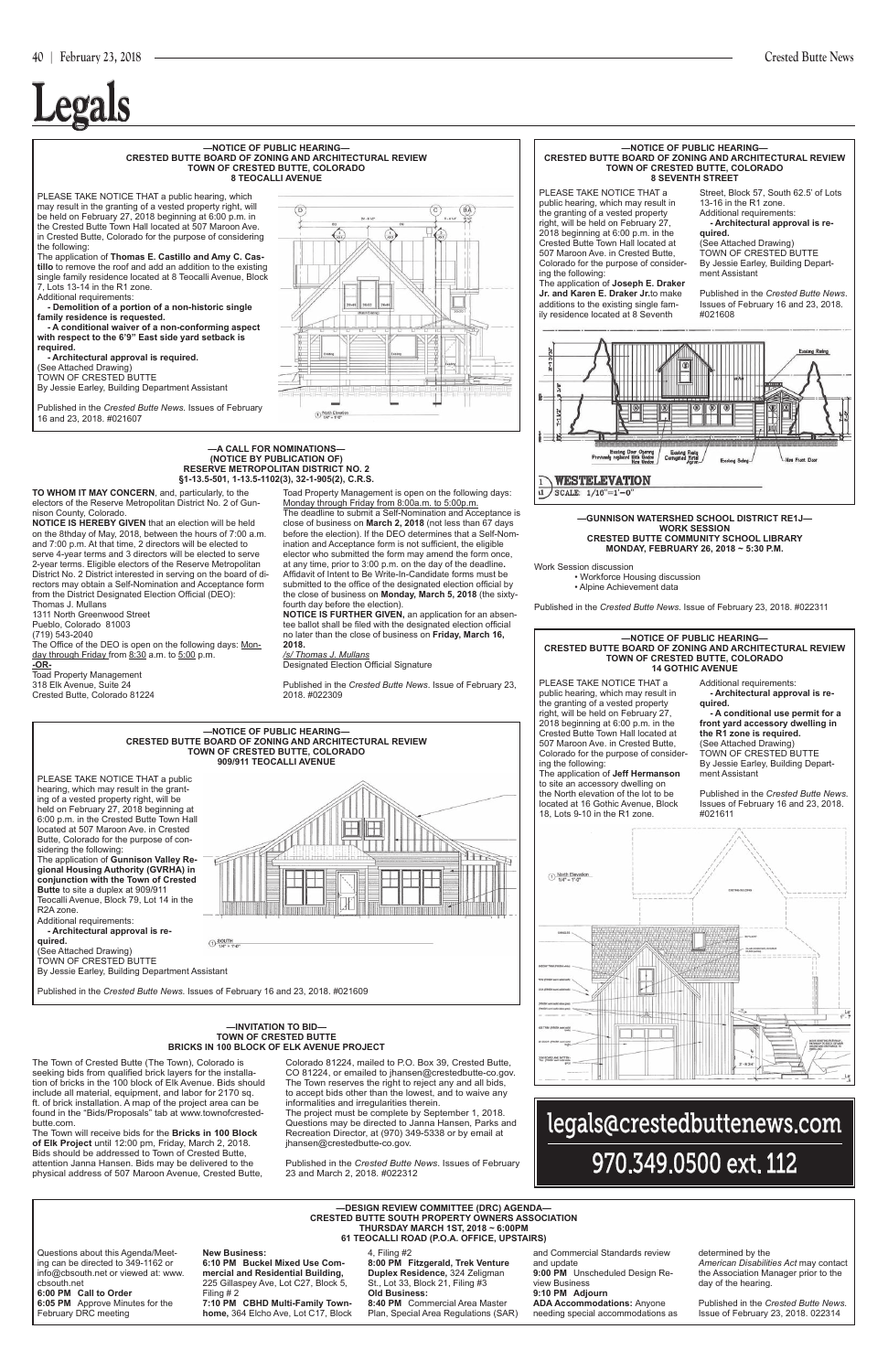

**Legals**

#### **—NOTICE OF PUBLIC HEARING— CRESTED BUTTE BOARD OF ZONING AND ARCHITECTURAL REVIEW TOWN OF CRESTED BUTTE, COLORADO 8 SEVENTH STREET**

#### **—NOTICE OF PUBLIC HEARING— CRESTED BUTTE BOARD OF ZONING AND ARCHITECTURAL REVIEW TOWN OF CRESTED BUTTE, COLORADO 14 GOTHIC AVENUE**

#### **—NOTICE OF PUBLIC HEARING— CRESTED BUTTE BOARD OF ZONING AND ARCHITECTURAL REVIEW TOWN OF CRESTED BUTTE, COLORADO 8 TEOCALLI AVENUE**

PLEASE TAKE NOTICE THAT a public hearing, which may result in the granting of a vested property right, will be held on February 27, 2018 beginning at 6:00 p.m. in the Crested Butte Town Hall located at 507 Maroon Ave. in Crested Butte, Colorado for the purpose of considering the following:

The application of **Joseph E. Draker Jr. and Karen E. Draker Jr.**to make additions to the existing single family residence located at 8 Seventh

Street, Block 57, South 62.5' of Lots 13-16 in the R1 zone. Additional requirements:

 **- Architectural approval is re-**

#### **quired.** (See Attached Drawing)

TOWN OF CRESTED BUTTE By Jessie Earley, Building Department Assistant

Published in the *Crested Butte News*. Issues of February 16 and 23, 2018. #021608



PLEASE TAKE NOTICE THAT a public hearing, which may result in the granting of a vested property right, will be held on February 27, 2018 beginning at 6:00 p.m. in the Crested Butte Town Hall located at 507 Maroon Ave. in Crested Butte, Colorado for the purpose of considering the following: The application of **Jeff Hermanson** 

to site an accessory dwelling on the North elevation of the lot to be located at 16 Gothic Avenue, Block 18, Lots 9-10 in the R1 zone*.*

#### **—NOTICE OF PUBLIC HEARING— CRESTED BUTTE BOARD OF ZONING AND ARCHITECTURAL REVIEW TOWN OF CRESTED BUTTE, COLORADO 909/911 TEOCALLI AVENUE** PLEASE TAKE NOTICE THAT a public

Additional requirements:  **- Architectural approval is required.**

 **- A conditional use permit for a front yard accessory dwelling in the R1 zone is required.** (See Attached Drawing) TOWN OF CRESTED BUTTE By Jessie Earley, Building Depart-

ment Assistant Published in the *Crested Butte News*.





PLEASE TAKE NOTICE THAT a public hearing, which may result in the granting of a vested property right, will be held on February 27, 2018 beginning at 6:00 p.m. in the Crested Butte Town Hall located at 507 Maroon Ave. in Crested Butte, Colorado for the purpose of considering the following:

The Office of the DEO is open on the following days: Monday through Friday from 8:30 a.m. to 5:00 p.m.

The application of **Thomas E. Castillo and Amy C. Castillo** to remove the roof and add an addition to the existing single family residence located at 8 Teocalli Avenue, Block 7, Lots 13-14 in the R1 zone.

Additional requirements:

 **- Demolition of a portion of a non-historic single family residence is requested.** 

 **- A conditional waiver of a non-conforming aspect with respect to the 6'9" East side yard setback is required.**

 **- Architectural approval is required.**

(See Attached Drawing)

TOWN OF CRESTED BUTTE

By Jessie Earley, Building Department Assistant

Published in the *Crested Butte News*. Issues of February 16 and 23, 2018. #021607

# $\bigodot \frac{\text{North Elewal}}{1.95^\circ} = 1.0^\circ$

hearing, which may result in the granting of a vested property right, will be held on February 27, 2018 beginning at 6:00 p.m. in the Crested Butte Town Hall located at 507 Maroon Ave. in Crested Butte, Colorado for the purpose of considering the following: The application of **Gunnison Valley Regional Housing Authority (GVRHA) in conjunction with the Town of Crested Butte** to site a duplex at 909/911 Teocalli Avenue, Block 79, Lot 14 in the R2A zone. Additional requirements:

 **- Architectural approval is required.** (See Attached Drawing) TOWN OF CRESTED BUTTE By Jessie Earley, Building Department Assistant





#### **—A CALL FOR NOMINATIONS— (NOTICE BY PUBLICATION OF) RESERVE METROPOLITAN DISTRICT NO. 2 §1-13.5-501, 1-13.5-1102(3), 32-1-905(2), C.R.S.**

#### **—INVITATION TO BID— TOWN OF CRESTED BUTTE BRICKS IN 100 BLOCK OF ELK AVENUE PROJECT**

**TO WHOM IT MAY CONCERN**, and, particularly, to the electors of the Reserve Metropolitan District No. 2 of Gunnison County, Colorado.

**NOTICE IS HEREBY GIVEN** that an election will be held on the 8thday of May, 2018, between the hours of 7:00 a.m. and 7:00 p.m. At that time, 2 directors will be elected to serve 4-year terms and 3 directors will be elected to serve 2-year terms. Eligible electors of the Reserve Metropolitan District No. 2 District interested in serving on the board of directors may obtain a Self-Nomination and Acceptance form from the District Designated Election Official (DEO): Thomas J. Mullans

1311 North Greenwood Street

Pueblo, Colorado 81003

(719) 543-2040

**-OR-**Toad Property Management 318 Elk Avenue, Suite 24

Crested Butte, Colorado 81224

Toad Property Management is open on the following days: Monday through Friday from 8:00a.m. to 5:00p.m. The deadline to submit a Self-Nomination and Acceptance is close of business on **March 2, 2018** (not less than 67 days before the election). If the DEO determines that a Self-Nom-

ination and Acceptance form is not sufficient, the eligible elector who submitted the form may amend the form once, at any time, prior to 3:00 p.m. on the day of the deadline**.** Affidavit of Intent to Be Write-In-Candidate forms must be submitted to the office of the designated election official by the close of business on **Monday, March 5, 2018** (the sixtyfourth day before the election).

**NOTICE IS FURTHER GIVEN,** an application for an absentee ballot shall be filed with the designated election official no later than the close of business on **Friday, March 16, 2018.**

*/s/ Thomas J. Mullans*

Designated Election Official Signature

Published in the *Crested Butte News*. Issue of February 23, 2018. #022309

The Town of Crested Butte (The Town), Colorado is seeking bids from qualified brick layers for the installation of bricks in the 100 block of Elk Avenue. Bids should include all material, equipment, and labor for 2170 sq. ft. of brick installation. A map of the project area can be found in the "Bids/Proposals" tab at www.townofcrestedbutte.com.

The Town will receive bids for the **Bricks in 100 Block of Elk Project** until 12:00 pm, Friday, March 2, 2018. Bids should be addressed to Town of Crested Butte, attention Janna Hansen. Bids may be delivered to the physical address of 507 Maroon Avenue, Crested Butte, Colorado 81224, mailed to P.O. Box 39, Crested Butte, CO 81224, or emailed to jhansen@crestedbutte-co.gov. The Town reserves the right to reject any and all bids, to accept bids other than the lowest, and to waive any informalities and irregularities therein.

The project must be complete by September 1, 2018. Questions may be directed to Janna Hansen, Parks and Recreation Director, at (970) 349-5338 or by email at jhansen@crestedbutte-co.gov.

Published in the *Crested Butte News*. Issues of February 23 and March 2, 2018. #022312

#### **—GUNNISON WATERSHED SCHOOL DISTRICT RE1J— WORK SESSION CRESTED BUTTE COMMUNITY SCHOOL LIBRARY**

**MONDAY, FEBRUARY 26, 2018 ~ 5:30 P.M.**

Work Session discussion

 • Workforce Housing discussion • Alpine Achievement data

Published in the *Crested Butte News*. Issue of February 23, 2018. #022311

| -DESIGN REVIEW COMMITTEE (DRC) AGENDA-<br><b>CRESTED BUTTE SOUTH PROPERTY OWNERS ASSOCIATION</b><br><b>THURSDAY MARCH 1ST, 2018 ~ 6:00PM</b><br>61 TEOCALLI ROAD (P.O.A. OFFICE, UPSTAIRS) |                                                                                                                                                  |                                                                                                                                                |                                                                                                                     |                                                                                                                           |  |  |  |  |
|--------------------------------------------------------------------------------------------------------------------------------------------------------------------------------------------|--------------------------------------------------------------------------------------------------------------------------------------------------|------------------------------------------------------------------------------------------------------------------------------------------------|---------------------------------------------------------------------------------------------------------------------|---------------------------------------------------------------------------------------------------------------------------|--|--|--|--|
| Questions about this Agenda/Meet-<br>I ing can be directed to 349-1162 or<br>info@cbsouth.net or viewed at: www.<br><b>I</b> cbsouth.net<br>6:00 PM Call to Order                          | <b>New Business:</b><br>6:10 PM Buckel Mixed Use Com-<br>mercial and Residential Building,<br>225 Gillaspey Ave, Lot C27, Block 5,<br>Filing # 2 | 4, Filing #2<br>8:00 PM Fitzgerald, Trek Venture<br>Duplex Residence, 324 Zeligman<br>St., Lot 33, Block 21, Filing #3<br><b>Old Business:</b> | and Commercial Standards review<br>and update<br>9:00 PM Unscheduled Design Re-<br>view Business<br>9:10 PM Adiourn | determined by the<br>American Disabilities Act may contact<br>the Association Manager prior to the<br>day of the hearing. |  |  |  |  |
| 6:05 PM Approve Minutes for the<br>February DRC meeting                                                                                                                                    | 7:10 PM CBHD Multi-Family Town-<br>home, 364 Elcho Ave, Lot C17, Block                                                                           | 8:40 PM Commercial Area Master<br>Plan, Special Area Regulations (SAR)                                                                         | <b>ADA Accommodations: Anyone</b><br>needing special accommodations as                                              | Published in the Crested Butte News.<br>Issue of February 23, 2018, 022314                                                |  |  |  |  |